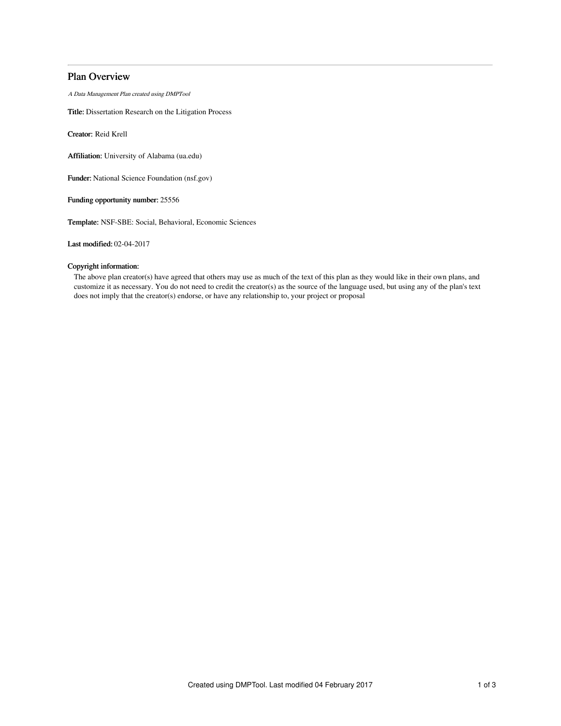# Plan Overview

A Data Management Plan created using DMPTool

Title: Dissertation Research on the Litigation Process

Creator: Reid Krell

Affiliation: University of Alabama (ua.edu)

Funder: National Science Foundation (nsf.gov)

Funding opportunity number: 25556

Template: NSF-SBE: Social, Behavioral, Economic Sciences

Last modified: 02-04-2017

## Copyright information:

The above plan creator(s) have agreed that others may use as much of the text of this plan as they would like in their own plans, and customize it as necessary. You do not need to credit the creator(s) as the source of the language used, but using any of the plan's text does not imply that the creator(s) endorse, or have any relationship to, your project or proposal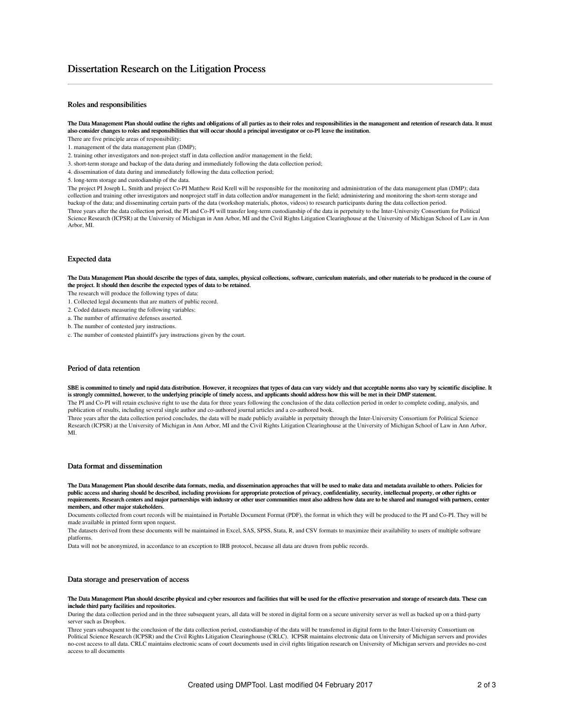### Roles and responsibilities

The Data Management Plan should outline the rights and obligations of all parties as to their roles and responsibilities in the management and retention of research data. It must also consider changes to roles and responsibilities that will occur should a principal investigator or co-PI leave the institution.

- There are five principle areas of responsibility:
- 1. management of the data management plan (DMP);
- 2. training other investigators and non-project staff in data collection and/or management in the field;
- 3. short-term storage and backup of the data during and immediately following the data collection period;
- 4. dissemination of data during and immediately following the data collection period;
- 5. long-term storage and custodianship of the data.

The project PI Joseph L. Smith and project Co-PI Matthew Reid Krell will be responsible for the monitoring and administration of the data management plan (DMP); data collection and training other investigators and nonproject staff in data collection and/or management in the field; administering and monitoring the short-term storage and backup of the data; and disseminating certain parts of the data (workshop materials, photos, videos) to research participants during the data collection period. Three years after the data collection period, the PI and Co-PI will transfer long-term custodianship of the data in perpetuity to the Inter-University Consortium for Political Science Research (ICPSR) at the University of Michigan in Ann Arbor, MI and the Civil Rights Litigation Clearinghouse at the University of Michigan School of Law in Ann Arbor, MI.

#### Expected data

The Data Management Plan should describe the types of data, samples, physical collections, software, curriculum materials, and other materials to be produced in the course of the project. It should then describe the expected types of data to be retained.

The research will produce the following types of data:

- 1. Collected legal documents that are matters of public record.
- 2. Coded datasets measuring the following variables:

a. The number of affirmative defenses asserted.

- b. The number of contested jury instructions.
- c. The number of contested plaintiff's jury instructions given by the court.

#### Period of data retention

SBE is committed to timely and rapid data distribution. However, it recognizes that types of data can vary widely and that acceptable norms also vary by scientific discipline. It is strongly committed, however, to the underlying principle of timely access, and applicants should address how this will be met in their DMP statement.

The PI and Co-PI will retain exclusive right to use the data for three years following the conclusion of the data collection period in order to complete coding, analysis, and publication of results, including several single author and co-authored journal articles and a co-authored book.

Three years after the data collection period concludes, the data will be made publicly available in perpetuity through the Inter-University Consortium for Political Science Research (ICPSR) at the University of Michigan in Ann Arbor, MI and the Civil Rights Litigation Clearinghouse at the University of Michigan School of Law in Ann Arbor, MI.

#### Data format and dissemination

The Data Management Plan should describe data formats, media, and dissemination approaches that will be used to make data and metadata available to others. Policies for public access and sharing should be described, including provisions for appropriate protection of privacy, confidentiality, security, intellectual property, or other rights or requirements. Research centers and major partnerships with industry or other user communities must also address how data are to be shared and managed with partners, center members, and other major stakeholders.

Documents collected from court records will be maintained in Portable Document Format (PDF), the format in which they will be produced to the PI and Co-PI. They will be made available in printed form upon request.

The datasets derived from these documents will be maintained in Excel, SAS, SPSS, Stata, R, and CSV formats to maximize their availability to users of multiple software platforms.

Data will not be anonymized, in accordance to an exception to IRB protocol, because all data are drawn from public records.

#### Data storage and preservation of access

The Data Management Plan should describe physical and cyber resources and facilities that will be used for the effective preservation and storage of research data. These can include third party facilities and repositories.

During the data collection period and in the three subsequent years, all data will be stored in digital form on a secure university server as well as backed up on a third-party server such as Dropbox.

Three years subsequent to the conclusion of the data collection period, custodianship of the data will be transferred in digital form to the Inter-University Consortium on Political Science Research (ICPSR) and the Civil Rights Litigation Clearinghouse (CRLC). ICPSR maintains electronic data on University of Michigan servers and provides no-cost access to all data. CRLC maintains electronic scans of court documents used in civil rights litigation research on University of Michigan servers and provides no-cost access to all documents